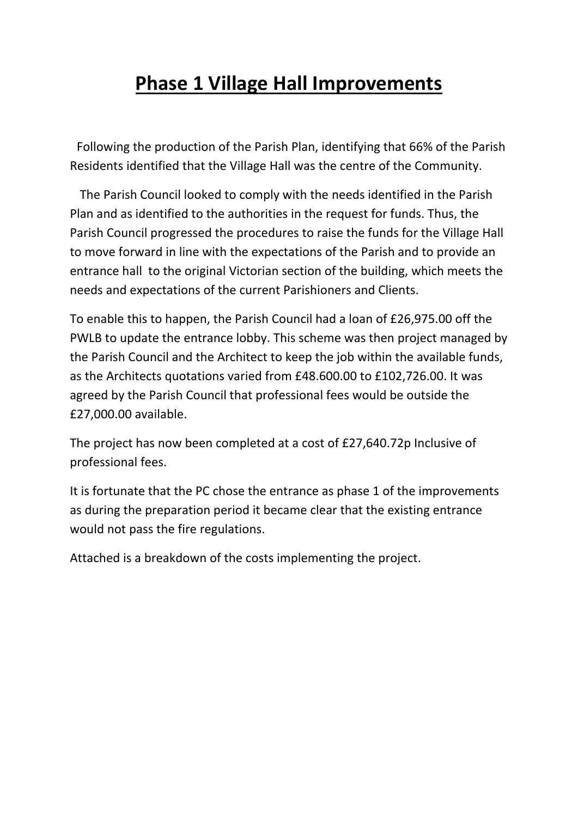## **Phase 1 Village Hall Improvements**

Following the production of the Parish Plan, identifying that 66% of the Parish Residents identified that the Village Hall was the centre of the Community.

The Parish Council looked to comply with the needs identified in the Parish Plan and as identified to the authorities in the request for funds. Thus, the Parish Council progressed the procedures to raise the funds for the Village Hall to move forward in line with the expectations of the Parish and to provide an entrance hall to the original Victorian section of the building, which meets the needs and expectations of the current Parishioners and Clients.

To enable this to happen, the Parish Council had a loan of £26,975.00 off the PWLB to update the entrance lobby. This scheme was then project managed by the Parish Council and the Architect to keep the job within the available funds, as the Architects quotations varied from £48.600.00 to £102,726.00. It was agreed by the Parish Council that professional fees would be outside the £27,000.00 available.

The project has now been completed at a cost of £27,640.72p Inclusive of professional fees.

It is fortunate that the PC chose the entrance as phase 1 of the improvements as during the preparation period it became clear that the existing entrance would not pass the fire regulations.

Attached is a breakdown of the costs implementing the project.